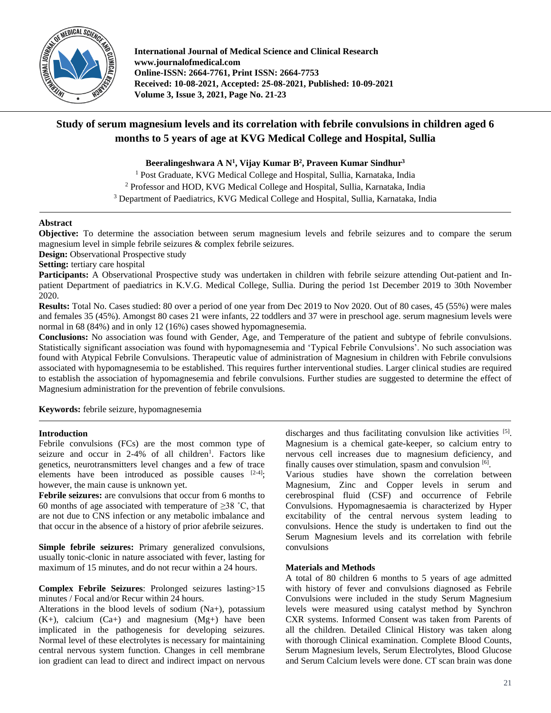

**International Journal of Medical Science and Clinical Research www.journalofmedical.com Online-ISSN: 2664-7761, Print ISSN: 2664-7753 Received: 10-08-2021, Accepted: 25-08-2021, Published: 10-09-2021 Volume 3, Issue 3, 2021, Page No. 21-23** 

# **Study of serum magnesium levels and its correlation with febrile convulsions in children aged 6 months to 5 years of age at KVG Medical College and Hospital, Sullia**

**Beeralingeshwara A N<sup>1</sup> , Vijay Kumar B<sup>2</sup> , Praveen Kumar Sindhur<sup>3</sup>**

<sup>1</sup> Post Graduate, KVG Medical College and Hospital, Sullia, Karnataka, India <sup>2</sup> Professor and HOD, KVG Medical College and Hospital, Sullia, Karnataka, India <sup>3</sup> Department of Paediatrics, KVG Medical College and Hospital, Sullia, Karnataka, India

# **Abstract**

**Objective:** To determine the association between serum magnesium levels and febrile seizures and to compare the serum magnesium level in simple febrile seizures & complex febrile seizures.

**Design:** Observational Prospective study

**Setting:** tertiary care hospital

**Participants:** A Observational Prospective study was undertaken in children with febrile seizure attending Out-patient and Inpatient Department of paediatrics in K.V.G. Medical College, Sullia. During the period 1st December 2019 to 30th November 2020.

**Results:** Total No. Cases studied: 80 over a period of one year from Dec 2019 to Nov 2020. Out of 80 cases, 45 (55%) were males and females 35 (45%). Amongst 80 cases 21 were infants, 22 toddlers and 37 were in preschool age. serum magnesium levels were normal in 68 (84%) and in only 12 (16%) cases showed hypomagnesemia.

**Conclusions:** No association was found with Gender, Age, and Temperature of the patient and subtype of febrile convulsions. Statistically significant association was found with hypomagnesemia and 'Typical Febrile Convulsions'. No such association was found with Atypical Febrile Convulsions. Therapeutic value of administration of Magnesium in children with Febrile convulsions associated with hypomagnesemia to be established. This requires further interventional studies. Larger clinical studies are required to establish the association of hypomagnesemia and febrile convulsions. Further studies are suggested to determine the effect of Magnesium administration for the prevention of febrile convulsions.

**Keywords:** febrile seizure, hypomagnesemia

## **Introduction**

Febrile convulsions (FCs) are the most common type of seizure and occur in 2-4% of all children<sup>1</sup>. Factors like genetics, neurotransmitters level changes and a few of trace elements have been introduced as possible causes  $[2-4]$ ; however, the main cause is unknown yet.

**Febrile seizures:** are convulsions that occur from 6 months to 60 months of age associated with temperature of  $\geq$ 38 °C, that are not due to CNS infection or any metabolic imbalance and that occur in the absence of a history of prior afebrile seizures.

**Simple febrile seizures:** Primary generalized convulsions, usually tonic-clonic in nature associated with fever, lasting for maximum of 15 minutes, and do not recur within a 24 hours.

**Complex Febrile Seizures**: Prolonged seizures lasting>15 minutes / Focal and/or Recur within 24 hours.

Alterations in the blood levels of sodium (Na+), potassium  $(K+)$ , calcium  $(Ca+)$  and magnesium  $(Mg+)$  have been implicated in the pathogenesis for developing seizures. Normal level of these electrolytes is necessary for maintaining central nervous system function. Changes in cell membrane ion gradient can lead to direct and indirect impact on nervous

discharges and thus facilitating convulsion like activities [5]. Magnesium is a chemical gate-keeper, so calcium entry to nervous cell increases due to magnesium deficiency, and finally causes over stimulation, spasm and convulsion [6].

Various studies have shown the correlation between Magnesium, Zinc and Copper levels in serum and cerebrospinal fluid (CSF) and occurrence of Febrile Convulsions. Hypomagnesaemia is characterized by Hyper excitability of the central nervous system leading to convulsions. Hence the study is undertaken to find out the Serum Magnesium levels and its correlation with febrile convulsions

### **Materials and Methods**

A total of 80 children 6 months to 5 years of age admitted with history of fever and convulsions diagnosed as Febrile Convulsions were included in the study Serum Magnesium levels were measured using catalyst method by Synchron CXR systems. Informed Consent was taken from Parents of all the children. Detailed Clinical History was taken along with thorough Clinical examination. Complete Blood Counts, Serum Magnesium levels, Serum Electrolytes, Blood Glucose and Serum Calcium levels were done. CT scan brain was done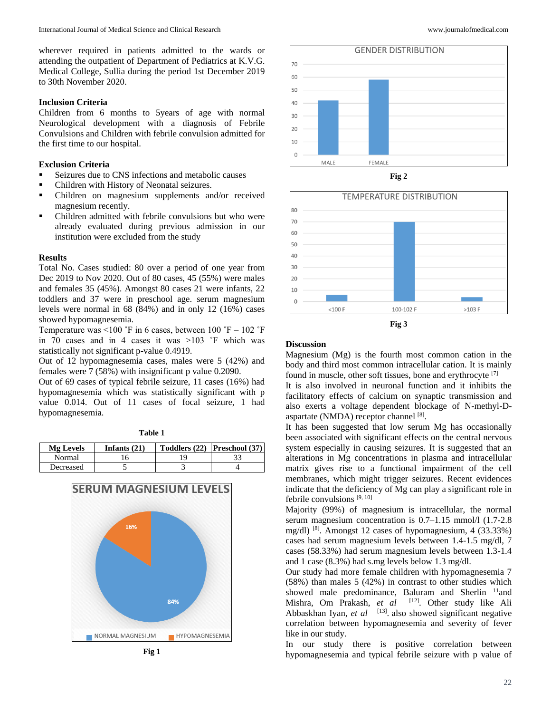wherever required in patients admitted to the wards or attending the outpatient of Department of Pediatrics at K.V.G. Medical College, Sullia during the period 1st December 2019 to 30th November 2020.

#### **Inclusion Criteria**

Children from 6 months to 5years of age with normal Neurological development with a diagnosis of Febrile Convulsions and Children with febrile convulsion admitted for the first time to our hospital.

## **Exclusion Criteria**

- Seizures due to CNS infections and metabolic causes
- Children with History of Neonatal seizures.
- Children on magnesium supplements and/or received magnesium recently.
- Children admitted with febrile convulsions but who were already evaluated during previous admission in our institution were excluded from the study

### **Results**

Total No. Cases studied: 80 over a period of one year from Dec 2019 to Nov 2020. Out of 80 cases, 45 (55%) were males and females 35 (45%). Amongst 80 cases 21 were infants, 22 toddlers and 37 were in preschool age. serum magnesium levels were normal in 68 (84%) and in only 12 (16%) cases showed hypomagnesemia.

Temperature was  $\leq 100$  °F in 6 cases, between 100 °F – 102 °F in 70 cases and in 4 cases it was >103 ˚F which was statistically not significant p-value 0.4919.

Out of 12 hypomagnesemia cases, males were 5 (42%) and females were 7 (58%) with insignificant p value 0.2090.

Out of 69 cases of typical febrile seizure, 11 cases (16%) had hypomagnesemia which was statistically significant with p value 0.014. Out of 11 cases of focal seizure, 1 had hypomagnesemia.

| П<br>н | н |  |
|--------|---|--|
|        |   |  |

| <b>Mg</b> Levels | Infants $(21)$ | Toddlers (22) Preschool (37) |
|------------------|----------------|------------------------------|
| Normal           |                |                              |
| Decreased        |                |                              |







**Fig 2**





#### **Discussion**

Magnesium (Mg) is the fourth most common cation in the body and third most common intracellular cation. It is mainly found in muscle, other soft tissues, bone and erythrocyte [7]

It is also involved in neuronal function and it inhibits the facilitatory effects of calcium on synaptic transmission and also exerts a voltage dependent blockage of N-methyl-Daspartate (NMDA) receptor channel [8].

It has been suggested that low serum Mg has occasionally been associated with significant effects on the central nervous system especially in causing seizures. It is suggested that an alterations in Mg concentrations in plasma and intracellular matrix gives rise to a functional impairment of the cell membranes, which might trigger seizures. Recent evidences indicate that the deficiency of Mg can play a significant role in febrile convulsions [9, 10]

Majority (99%) of magnesium is intracellular, the normal serum magnesium concentration is 0.7–1.15 mmol/l (1.7-2.8) mg/dl) [8]. Amongst 12 cases of hypomagnesium, 4 (33.33%) cases had serum magnesium levels between 1.4-1.5 mg/dl, 7 cases (58.33%) had serum magnesium levels between 1.3-1.4 and 1 case (8.3%) had s.mg levels below 1.3 mg/dl.

Our study had more female children with hypomagnesemia 7 (58%) than males 5 (42%) in contrast to other studies which showed male predominance, Baluram and Sherlin <sup>11</sup>and Mishra, Om Prakash, et al <sup>[12]</sup>. Other study like Ali Abbaskhan Iyan, *et al* <sup>[13]</sup> also showed significant negative correlation between hypomagnesemia and severity of fever like in our study.

In our study there is positive correlation between hypomagnesemia and typical febrile seizure with p value of